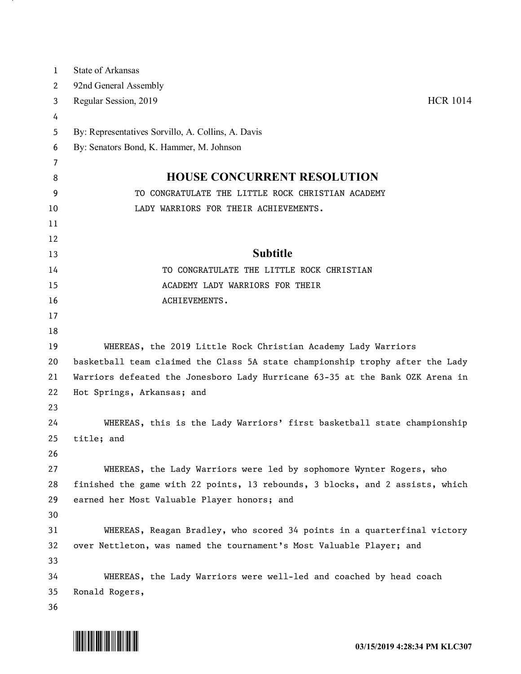| 1        | <b>State of Arkansas</b>                                                                                                                             |
|----------|------------------------------------------------------------------------------------------------------------------------------------------------------|
| 2        | 92nd General Assembly                                                                                                                                |
| 3        | Regular Session, 2019<br><b>HCR 1014</b>                                                                                                             |
| 4        |                                                                                                                                                      |
| 5        | By: Representatives Sorvillo, A. Collins, A. Davis                                                                                                   |
| 6        | By: Senators Bond, K. Hammer, M. Johnson                                                                                                             |
| 7        |                                                                                                                                                      |
| 8        | <b>HOUSE CONCURRENT RESOLUTION</b>                                                                                                                   |
| 9        | TO CONGRATULATE THE LITTLE ROCK CHRISTIAN ACADEMY                                                                                                    |
| 10       | LADY WARRIORS FOR THEIR ACHIEVEMENTS.                                                                                                                |
| 11       |                                                                                                                                                      |
| 12       |                                                                                                                                                      |
| 13       | <b>Subtitle</b>                                                                                                                                      |
| 14       | TO CONGRATULATE THE LITTLE ROCK CHRISTIAN                                                                                                            |
| 15       | ACADEMY LADY WARRIORS FOR THEIR                                                                                                                      |
| 16       | ACHIEVEMENTS.                                                                                                                                        |
| 17       |                                                                                                                                                      |
| 18       |                                                                                                                                                      |
| 19       | WHEREAS, the 2019 Little Rock Christian Academy Lady Warriors                                                                                        |
| 20       | basketball team claimed the Class 5A state championship trophy after the Lady                                                                        |
| 21       | Warriors defeated the Jonesboro Lady Hurricane 63-35 at the Bank OZK Arena in                                                                        |
| 22       | Hot Springs, Arkansas; and                                                                                                                           |
| 23       |                                                                                                                                                      |
| 24       | WHEREAS, this is the Lady Warriors' first basketball state championship                                                                              |
| 25       | title; and                                                                                                                                           |
| 26<br>27 |                                                                                                                                                      |
| 28       | WHEREAS, the Lady Warriors were led by sophomore Wynter Rogers, who<br>finished the game with 22 points, 13 rebounds, 3 blocks, and 2 assists, which |
| 29       | earned her Most Valuable Player honors; and                                                                                                          |
| 30       |                                                                                                                                                      |
| 31       | WHEREAS, Reagan Bradley, who scored 34 points in a quarterfinal victory                                                                              |
| 32       | over Nettleton, was named the tournament's Most Valuable Player; and                                                                                 |
| 33       |                                                                                                                                                      |
| 34       | WHEREAS, the Lady Warriors were well-led and coached by head coach                                                                                   |
| 35       | Ronald Rogers,                                                                                                                                       |
| 36       |                                                                                                                                                      |



. н.